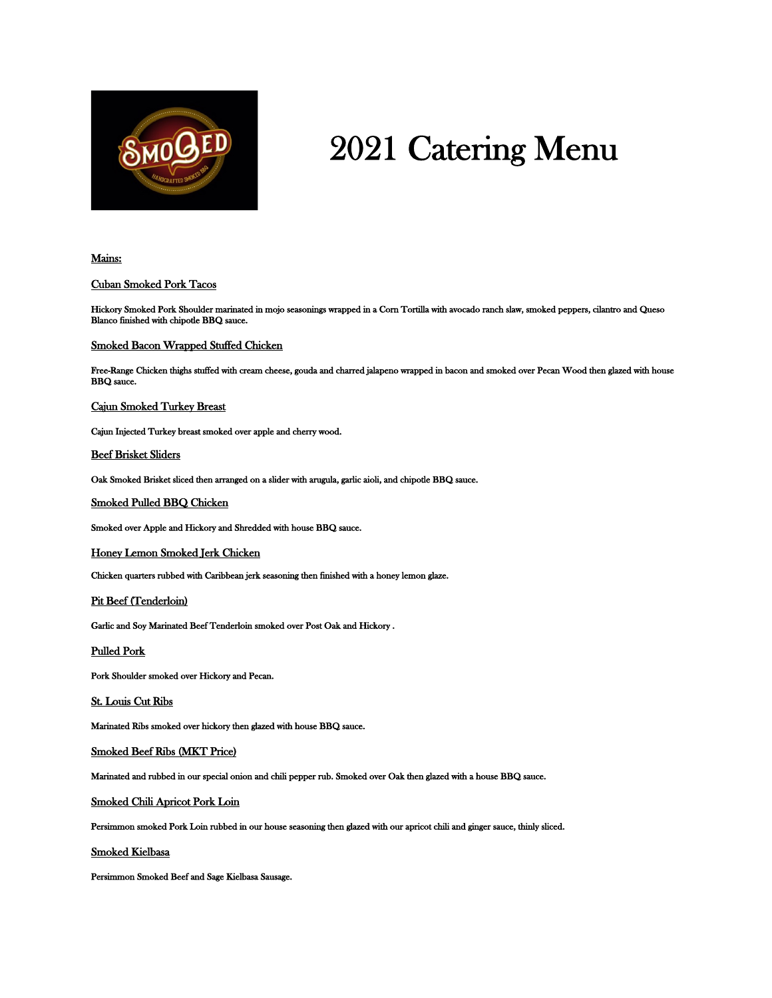

# 2021 Catering Menu

## Mains:

### Cuban Smoked Pork Tacos

Hickory Smoked Pork Shoulder marinated in mojo seasonings wrapped in a Corn Tortilla with avocado ranch slaw, smoked peppers, cilantro and Queso Blanco finished with chipotle BBQ sauce.

#### Smoked Bacon Wrapped Stuffed Chicken

Free-Range Chicken thighs stuffed with cream cheese, gouda and charred jalapeno wrapped in bacon and smoked over Pecan Wood then glazed with house BBQ sauce.

#### Cajun Smoked Turkey Breast

Cajun Injected Turkey breast smoked over apple and cherry wood.

#### Beef Brisket Sliders

Oak Smoked Brisket sliced then arranged on a slider with arugula, garlic aioli, and chipotle BBQ sauce.

#### Smoked Pulled BBQ Chicken

Smoked over Apple and Hickory and Shredded with house BBQ sauce.

Honey Lemon Smoked Jerk Chicken

Chicken quarters rubbed with Caribbean jerk seasoning then finished with a honey lemon glaze.

Pit Beef (Tenderloin)

Garlic and Soy Marinated Beef Tenderloin smoked over Post Oak and Hickory .

Pulled Pork

Pork Shoulder smoked over Hickory and Pecan.

St. Louis Cut Ribs

Marinated Ribs smoked over hickory then glazed with house BBQ sauce.

Smoked Beef Ribs (MKT Price)

Marinated and rubbed in our special onion and chili pepper rub. Smoked over Oak then glazed with a house BBQ sauce.

Smoked Chili Apricot Pork Loin

Persimmon smoked Pork Loin rubbed in our house seasoning then glazed with our apricot chili and ginger sauce, thinly sliced.

Smoked Kielbasa

Persimmon Smoked Beef and Sage Kielbasa Sausage.